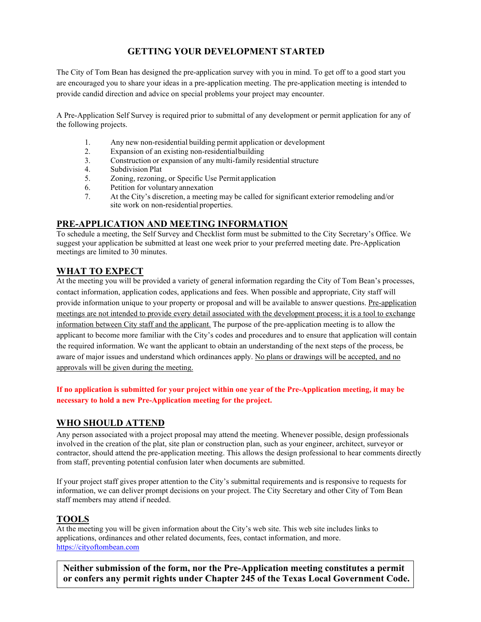### **GETTING YOUR DEVELOPMENT STARTED**

The City of Tom Bean has designed the pre-application survey with you in mind. To get off to a good start you are encouraged you to share your ideas in a pre-application meeting. The pre-application meeting is intended to provide candid direction and advice on special problems your project may encounter.

A Pre-Application Self Survey is required prior to submittal of any development or permit application for any of the following projects.

- 1. Any new non-residential building permit application or development
- 2. Expansion of an existing non-residentialbuilding
- 3. Construction or expansion of any multi-family residential structure
- 4. Subdivision Plat<br>5. Zoning, rezoning
- 5. Zoning, rezoning, or Specific Use Permit application
- 6. Petition for voluntaryannexation
- 7. At the City's discretion, a meeting may be called for significant exterior remodeling and/or site work on non-residential properties.

### **PRE-APPLICATION AND MEETING INFORMATION**

To schedule a meeting, the Self Survey and Checklist form must be submitted to the City Secretary's Office. We suggest your application be submitted at least one week prior to your preferred meeting date. Pre-Application meetings are limited to 30 minutes.

### **WHAT TO EXPECT**

At the meeting you will be provided a variety of general information regarding the City of Tom Bean's processes, contact information, application codes, applications and fees. When possible and appropriate, City staff will provide information unique to your property or proposal and will be available to answer questions. Pre-application meetings are not intended to provide every detail associated with the development process; it is a tool to exchange information between City staff and the applicant. The purpose of the pre-application meeting is to allow the applicant to become more familiar with the City's codes and procedures and to ensure that application will contain the required information. We want the applicant to obtain an understanding of the next steps of the process, be aware of major issues and understand which ordinances apply. No plans or drawings will be accepted, and no approvals will be given during the meeting.

#### **If no application is submitted for your project within one year of the Pre-Application meeting, it may be necessary to hold a new Pre-Application meeting for the project.**

### **WHO SHOULD ATTEND**

Any person associated with a project proposal may attend the meeting. Whenever possible, design professionals involved in the creation of the plat, site plan or construction plan, such as your engineer, architect, surveyor or contractor, should attend the pre-application meeting. This allows the design professional to hear comments directly from staff, preventing potential confusion later when documents are submitted.

If your project staff gives proper attention to the City's submittal requirements and is responsive to requests for information, we can deliver prompt decisions on your project. The City Secretary and other City of Tom Bean staff members may attend if needed.

### **TOOLS**

At the meeting you will be given information about the City's web site. This web site includes links to applications, ordinances and other related documents, fees, contact information, and more. https://cityoftombean.com

**Neither submission of the form, nor the Pre-Application meeting constitutes a permit or confers any permit rights under Chapter 245 of the Texas Local Government Code.**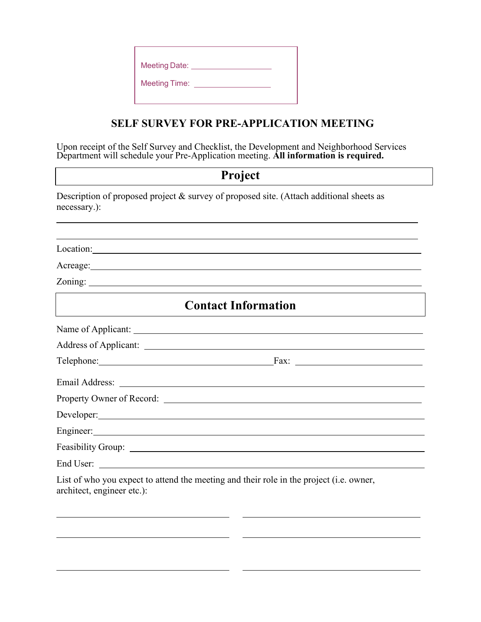| <b>Meeting Date:</b> |  |
|----------------------|--|
| <b>Meeting Time:</b> |  |
|                      |  |

## **SELF SURVEY FOR PRE-APPLICATION MEETING**

Upon receipt of the Self Survey and Checklist, the Development and Neighborhood Services Department will schedule your Pre-Application meeting. **All information is required.**

# **Project**

Description of proposed project & survey of proposed site. (Attach additional sheets as necessary.):

| Location:                                                                                                                                                                                                                            |  |  |  |  |
|--------------------------------------------------------------------------------------------------------------------------------------------------------------------------------------------------------------------------------------|--|--|--|--|
| Acreage: <u>and the community of the community of the community of the community of the community of the community of the community of the community of the community of the community of the community of the community of the </u> |  |  |  |  |
|                                                                                                                                                                                                                                      |  |  |  |  |
| <b>Contact Information</b>                                                                                                                                                                                                           |  |  |  |  |
|                                                                                                                                                                                                                                      |  |  |  |  |
|                                                                                                                                                                                                                                      |  |  |  |  |
|                                                                                                                                                                                                                                      |  |  |  |  |
| Email Address: No. 1996. The Second Second Second Second Second Second Second Second Second Second Second Second Second Second Second Second Second Second Second Second Second Second Second Second Second Second Second Seco       |  |  |  |  |
|                                                                                                                                                                                                                                      |  |  |  |  |
| Developer: New York Changes and Changes and Changes and Changes and Changes and Changes and Changes and Changes and Changes and Changes and Changes and Changes and Changes and Changes and Changes and Changes and Changes an       |  |  |  |  |
|                                                                                                                                                                                                                                      |  |  |  |  |
|                                                                                                                                                                                                                                      |  |  |  |  |
|                                                                                                                                                                                                                                      |  |  |  |  |
| List of who you expect to attend the meeting and their role in the project (i.e. owner,<br>architect, engineer etc.):                                                                                                                |  |  |  |  |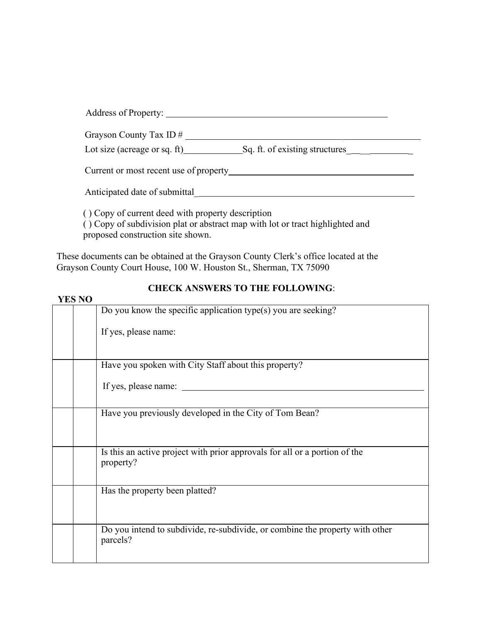| Address of Property:                                                                                                                                                                                                           |  |
|--------------------------------------------------------------------------------------------------------------------------------------------------------------------------------------------------------------------------------|--|
| Grayson County Tax ID #                                                                                                                                                                                                        |  |
| Lot size (acreage or sq. ft) $\qquad \qquad$ Sq. ft. of existing structures $\qquad \qquad$                                                                                                                                    |  |
| Current or most recent use of property exercise the contract of the contract of the contract of the contract of the contract of the contract of the contract of the contract of the contract of the contract of the contract o |  |
|                                                                                                                                                                                                                                |  |
| () Copy of current deed with property description<br>() Copy of subdivision plat or abstract map with lot or tract highlighted and                                                                                             |  |

proposed construction site shown.

These documents can be obtained at the Grayson County Clerk's office located at the Grayson County Court House, 100 W. Houston St., Sherman, TX 75090

### **YES NO**

### **CHECK ANSWERS TO THE FOLLOWING**:

| I LD IVU |                                                                                          |
|----------|------------------------------------------------------------------------------------------|
|          | Do you know the specific application type(s) you are seeking?                            |
|          | If yes, please name:                                                                     |
|          | Have you spoken with City Staff about this property?                                     |
|          | If yes, please name:                                                                     |
|          | Have you previously developed in the City of Tom Bean?                                   |
|          | Is this an active project with prior approvals for all or a portion of the<br>property?  |
|          | Has the property been platted?                                                           |
|          | Do you intend to subdivide, re-subdivide, or combine the property with other<br>parcels? |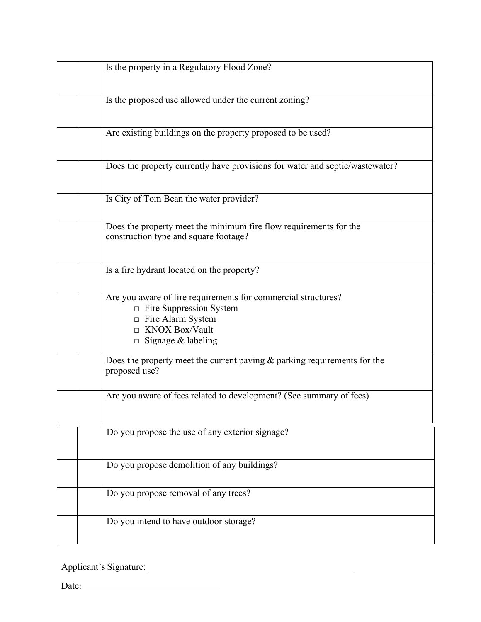| Is the property in a Regulatory Flood Zone?                                                                                                                           |
|-----------------------------------------------------------------------------------------------------------------------------------------------------------------------|
|                                                                                                                                                                       |
| Is the proposed use allowed under the current zoning?                                                                                                                 |
| Are existing buildings on the property proposed to be used?                                                                                                           |
| Does the property currently have provisions for water and septic/wastewater?                                                                                          |
| Is City of Tom Bean the water provider?                                                                                                                               |
| Does the property meet the minimum fire flow requirements for the<br>construction type and square footage?                                                            |
| Is a fire hydrant located on the property?                                                                                                                            |
| Are you aware of fire requirements for commercial structures?<br>Fire Suppression System<br>□ Fire Alarm System<br>$\Box$ KNOX Box/Vault<br>$\Box$ Signage & labeling |
| Does the property meet the current paving $\&$ parking requirements for the<br>proposed use?                                                                          |
| Are you aware of fees related to development? (See summary of fees)                                                                                                   |
| Do you propose the use of any exterior signage?                                                                                                                       |
| Do you propose demolition of any buildings?                                                                                                                           |
| Do you propose removal of any trees?                                                                                                                                  |
| Do you intend to have outdoor storage?                                                                                                                                |

Applicant's Signature:

Date: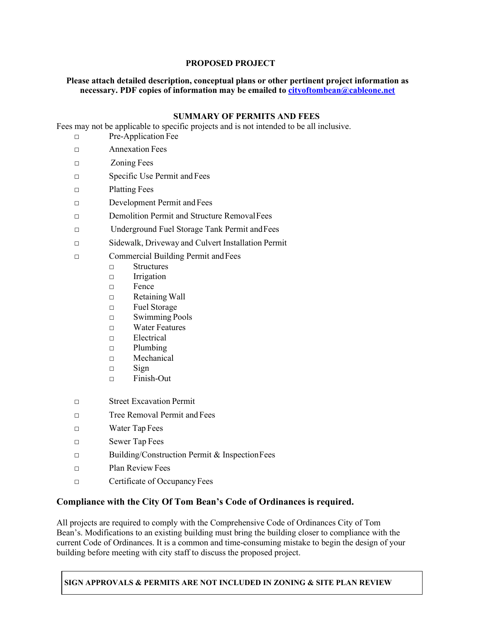### **PROPOSED PROJECT**

#### **Please attach detailed description, conceptual plans or other pertinent project information as necessary. PDF copies of information may be emailed to [cityoftombean@cableone.net](mailto:cityoftombean@cableone.net)**

### **SUMMARY OF PERMITS AND FEES**

Fees may not be applicable to specific projects and is not intended to be all inclusive.

- □ Pre-Application Fee
- □ Annexation Fees
- □ Zoning Fees
- □ Specific Use Permit and Fees
- □ Platting Fees
- □ Development Permit and Fees
- □ Demolition Permit and Structure RemovalFees
- □ Underground Fuel Storage Tank Permit andFees
- □ Sidewalk, Driveway and Culvert Installation Permit
- □ Commercial Building Permit andFees
	- □ Structures
	- □ Irrigation
	- □ Fence
	- □ Retaining Wall
	- □ Fuel Storage
	- □ Swimming Pools
	- □ Water Features
	- □ Electrical
	- □ Plumbing
	- □ Mechanical
	- □ Sign
	- □ Finish-Out
- □ Street Excavation Permit
- □ Tree Removal Permit and Fees
- □ Water Tap Fees
- □ Sewer Tap Fees
- □ Building/Construction Permit & InspectionFees
- □ Plan Review Fees
- □ Certificate of Occupancy Fees

### **Compliance with the City Of Tom Bean's Code of Ordinances is required.**

All projects are required to comply with the Comprehensive Code of Ordinances City of Tom Bean's. Modifications to an existing building must bring the building closer to compliance with the current Code of Ordinances. It is a common and time-consuming mistake to begin the design of your building before meeting with city staff to discuss the proposed project.

**SIGN APPROVALS & PERMITS ARE NOT INCLUDED IN ZONING & SITE PLAN REVIEW**